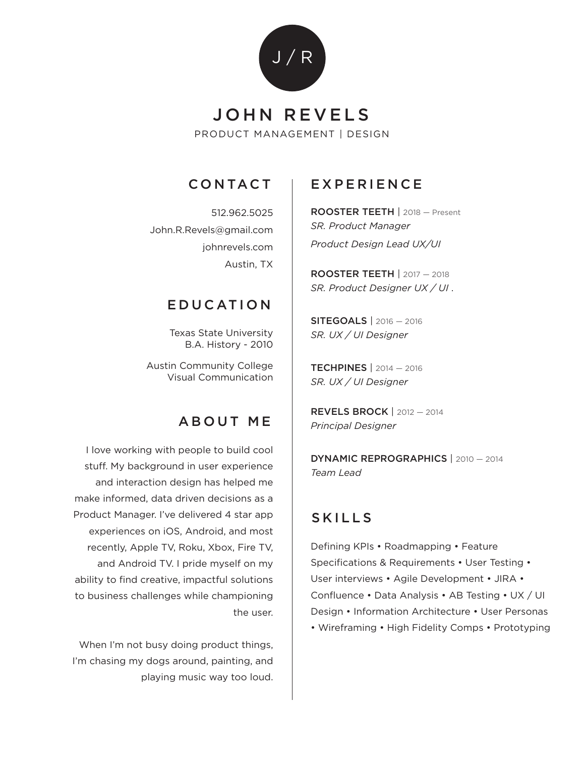

# PRODUCT MANAGEMENT | DESIGN JOHN REVELS

## CONTACT

512.962.5025 John.R.Revels@gmail.com johnrevels.com Austin, TX

#### EDUCATION

Texas State University B.A. History - 2010

Austin Community College Visual Communication

### ABOUT ME

I love working with people to build cool stuff. My background in user experience and interaction design has helped me make informed, data driven decisions as a Product Manager. I've delivered 4 star app experiences on iOS, Android, and most recently, Apple TV, Roku, Xbox, Fire TV, and Android TV. I pride myself on my ability to find creative, impactful solutions to business challenges while championing the user.

When I'm not busy doing product things, I'm chasing my dogs around, painting, and playing music way too loud.

## EXPERIENCE

ROOSTER TEETH | 2018 — Present *SR. Product Manager Product Design Lead UX/UI* 

ROOSTER TEETH | 2017 — 2018 *SR. Product Designer UX / UI* .

SITEGOALS | 2016 — 2016 *SR. UX / UI Designer*

TECHPINES | 2014 — 2016 *SR. UX / UI Designer*

REVELS BROCK | 2012 — 2014 *Principal Designer*

DYNAMIC REPROGRAPHICS | 2010 — 2014 *Team Lead*

### SKILLS

Defining KPIs • Roadmapping • Feature Specifications & Requirements • User Testing • User interviews • Agile Development • JIRA • Confluence • Data Analysis • AB Testing • UX / UI Design • Information Architecture • User Personas • Wireframing • High Fidelity Comps • Prototyping